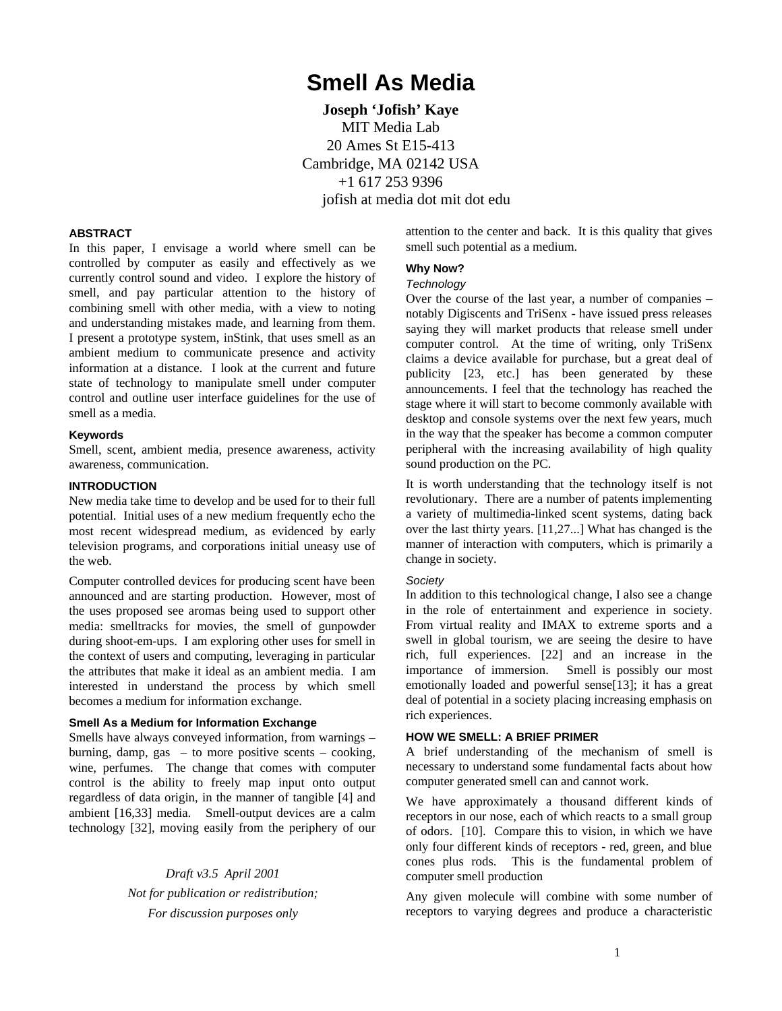# **Smell As Media**

**Joseph 'Jofish' Kaye** MIT Media Lab 20 Ames St E15-413 Cambridge, MA 02142 USA +1 617 253 9396 jofish at media dot mit dot edu

#### **ABSTRACT**

In this paper, I envisage a world where smell can be controlled by computer as easily and effectively as we currently control sound and video. I explore the history of smell, and pay particular attention to the history of combining smell with other media, with a view to noting and understanding mistakes made, and learning from them. I present a prototype system, inStink, that uses smell as an ambient medium to communicate presence and activity information at a distance. I look at the current and future state of technology to manipulate smell under computer control and outline user interface guidelines for the use of smell as a media.

#### **Keywords**

Smell, scent, ambient media, presence awareness, activity awareness, communication.

#### **INTRODUCTION**

New media take time to develop and be used for to their full potential. Initial uses of a new medium frequently echo the most recent widespread medium, as evidenced by early television programs, and corporations initial uneasy use of the web.

Computer controlled devices for producing scent have been announced and are starting production. However, most of the uses proposed see aromas being used to support other media: smelltracks for movies, the smell of gunpowder during shoot-em-ups. I am exploring other uses for smell in the context of users and computing, leveraging in particular the attributes that make it ideal as an ambient media. I am interested in understand the process by which smell becomes a medium for information exchange.

## **Smell As a Medium for Information Exchange**

Smells have always conveyed information, from warnings – burning, damp, gas  $-$  to more positive scents  $-$  cooking, wine, perfumes. The change that comes with computer control is the ability to freely map input onto output regardless of data origin, in the manner of tangible [4] and ambient [16,33] media. Smell-output devices are a calm technology [32], moving easily from the periphery of our

> *Draft v3.5 April 2001 Not for publication or redistribution; For discussion purposes only*

attention to the center and back. It is this quality that gives smell such potential as a medium.

#### **Why Now?**

#### *Technology*

Over the course of the last year, a number of companies – notably Digiscents and TriSenx - have issued press releases saying they will market products that release smell under computer control. At the time of writing, only TriSenx claims a device available for purchase, but a great deal of publicity [23, etc.] has been generated by these announcements. I feel that the technology has reached the stage where it will start to become commonly available with desktop and console systems over the next few years, much in the way that the speaker has become a common computer peripheral with the increasing availability of high quality sound production on the PC.

It is worth understanding that the technology itself is not revolutionary. There are a number of patents implementing a variety of multimedia-linked scent systems, dating back over the last thirty years. [11,27...] What has changed is the manner of interaction with computers, which is primarily a change in society.

#### *Society*

In addition to this technological change, I also see a change in the role of entertainment and experience in society. From virtual reality and IMAX to extreme sports and a swell in global tourism, we are seeing the desire to have rich, full experiences. [22] and an increase in the importance of immersion. Smell is possibly our most emotionally loaded and powerful sense[13]; it has a great deal of potential in a society placing increasing emphasis on rich experiences.

## **HOW WE SMELL: A BRIEF PRIMER**

A brief understanding of the mechanism of smell is necessary to understand some fundamental facts about how computer generated smell can and cannot work.

We have approximately a thousand different kinds of receptors in our nose, each of which reacts to a small group of odors. [10]. Compare this to vision, in which we have only four different kinds of receptors - red, green, and blue cones plus rods. This is the fundamental problem of computer smell production

Any given molecule will combine with some number of receptors to varying degrees and produce a characteristic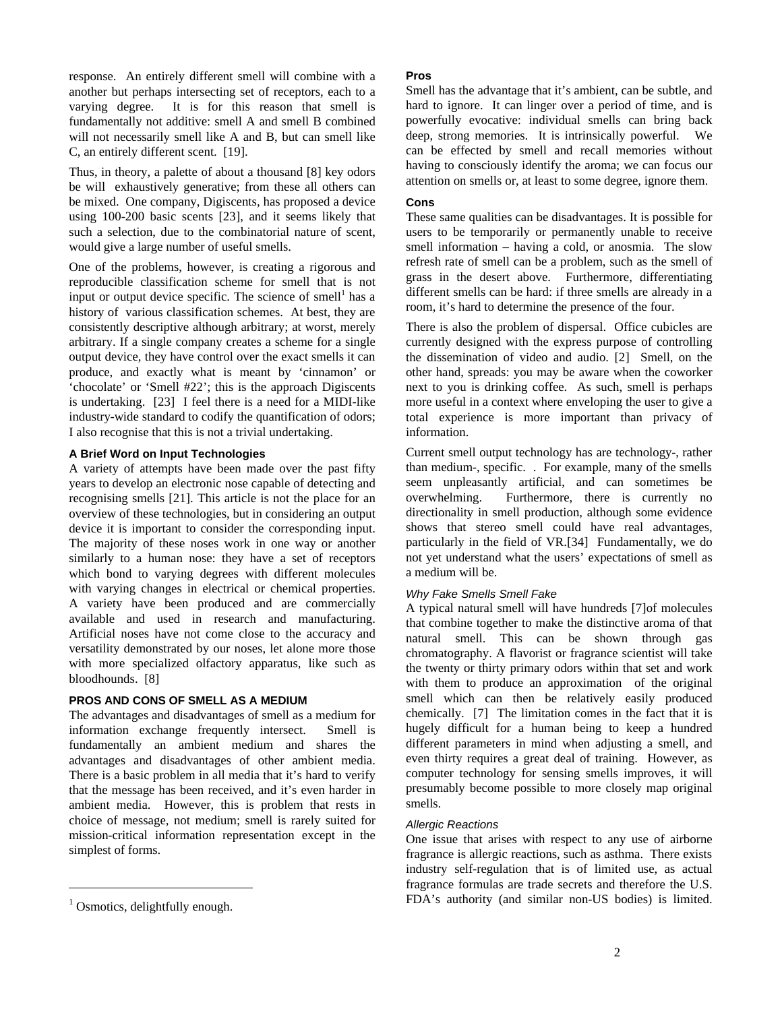response. An entirely different smell will combine with a another but perhaps intersecting set of receptors, each to a varying degree. It is for this reason that smell is fundamentally not additive: smell A and smell B combined will not necessarily smell like A and B, but can smell like C, an entirely different scent. [19].

Thus, in theory, a palette of about a thousand [8] key odors be will exhaustively generative; from these all others can be mixed. One company, Digiscents, has proposed a device using 100-200 basic scents [23], and it seems likely that such a selection, due to the combinatorial nature of scent, would give a large number of useful smells.

One of the problems, however, is creating a rigorous and reproducible classification scheme for smell that is not input or output device specific. The science of smell<sup>1</sup> has a history of various classification schemes. At best, they are consistently descriptive although arbitrary; at worst, merely arbitrary. If a single company creates a scheme for a single output device, they have control over the exact smells it can produce, and exactly what is meant by 'cinnamon' or 'chocolate' or 'Smell #22'; this is the approach Digiscents is undertaking. [23] I feel there is a need for a MIDI-like industry-wide standard to codify the quantification of odors; I also recognise that this is not a trivial undertaking.

#### **A Brief Word on Input Technologies**

A variety of attempts have been made over the past fifty years to develop an electronic nose capable of detecting and recognising smells [21]. This article is not the place for an overview of these technologies, but in considering an output device it is important to consider the corresponding input. The majority of these noses work in one way or another similarly to a human nose: they have a set of receptors which bond to varying degrees with different molecules with varying changes in electrical or chemical properties. A variety have been produced and are commercially available and used in research and manufacturing. Artificial noses have not come close to the accuracy and versatility demonstrated by our noses, let alone more those with more specialized olfactory apparatus, like such as bloodhounds. [8]

#### **PROS AND CONS OF SMELL AS A MEDIUM**

The advantages and disadvantages of smell as a medium for information exchange frequently intersect. Smell is fundamentally an ambient medium and shares the advantages and disadvantages of other ambient media. There is a basic problem in all media that it's hard to verify that the message has been received, and it's even harder in ambient media. However, this is problem that rests in choice of message, not medium; smell is rarely suited for mission-critical information representation except in the simplest of forms.

-

#### **Pros**

Smell has the advantage that it's ambient, can be subtle, and hard to ignore. It can linger over a period of time, and is powerfully evocative: individual smells can bring back deep, strong memories. It is intrinsically powerful. We can be effected by smell and recall memories without having to consciously identify the aroma; we can focus our attention on smells or, at least to some degree, ignore them.

## **Cons**

These same qualities can be disadvantages. It is possible for users to be temporarily or permanently unable to receive smell information – having a cold, or anosmia. The slow refresh rate of smell can be a problem, such as the smell of grass in the desert above. Furthermore, differentiating different smells can be hard: if three smells are already in a room, it's hard to determine the presence of the four.

There is also the problem of dispersal. Office cubicles are currently designed with the express purpose of controlling the dissemination of video and audio. [2] Smell, on the other hand, spreads: you may be aware when the coworker next to you is drinking coffee. As such, smell is perhaps more useful in a context where enveloping the user to give a total experience is more important than privacy of information.

Current smell output technology has are technology-, rather than medium-, specific. . For example, many of the smells seem unpleasantly artificial, and can sometimes be overwhelming. Furthermore, there is currently no directionality in smell production, although some evidence shows that stereo smell could have real advantages, particularly in the field of VR.[34] Fundamentally, we do not yet understand what the users' expectations of smell as a medium will be.

#### *Why Fake Smells Smell Fake*

A typical natural smell will have hundreds [7]of molecules that combine together to make the distinctive aroma of that natural smell. This can be shown through gas chromatography. A flavorist or fragrance scientist will take the twenty or thirty primary odors within that set and work with them to produce an approximation of the original smell which can then be relatively easily produced chemically. [7] The limitation comes in the fact that it is hugely difficult for a human being to keep a hundred different parameters in mind when adjusting a smell, and even thirty requires a great deal of training. However, as computer technology for sensing smells improves, it will presumably become possible to more closely map original smells.

#### *Allergic Reactions*

One issue that arises with respect to any use of airborne fragrance is allergic reactions, such as asthma. There exists industry self-regulation that is of limited use, as actual fragrance formulas are trade secrets and therefore the U.S. FDA's authority (and similar non-US bodies) is limited.

<sup>&</sup>lt;sup>1</sup> Osmotics, delightfully enough.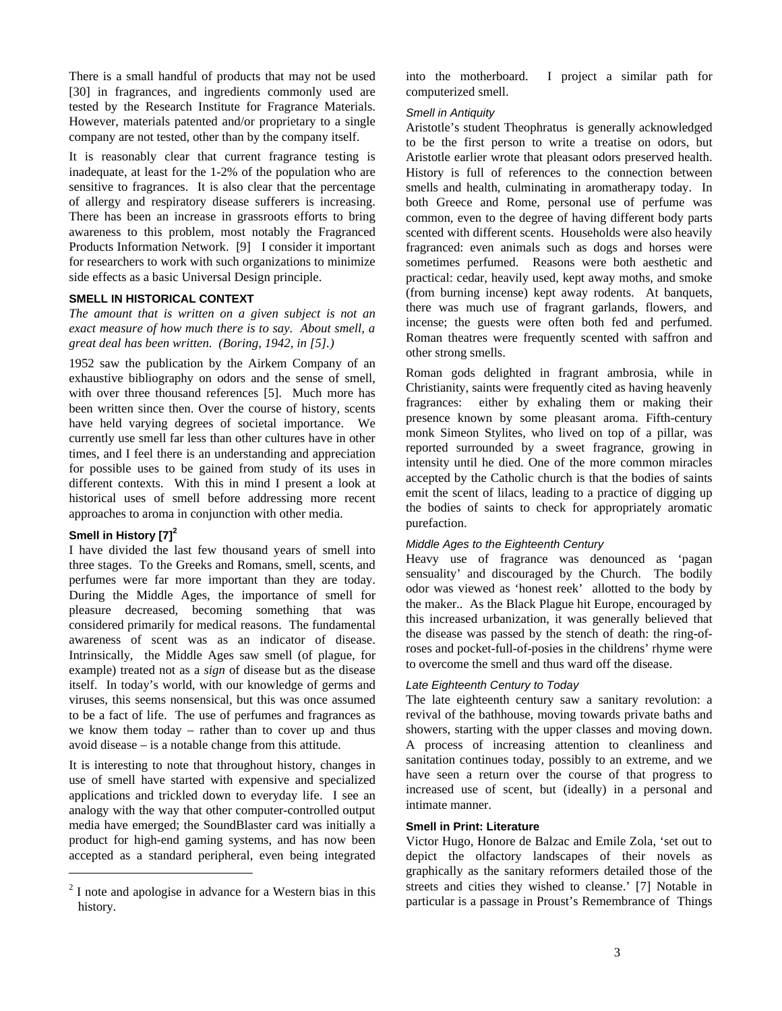There is a small handful of products that may not be used [30] in fragrances, and ingredients commonly used are tested by the Research Institute for Fragrance Materials. However, materials patented and/or proprietary to a single company are not tested, other than by the company itself.

It is reasonably clear that current fragrance testing is inadequate, at least for the 1-2% of the population who are sensitive to fragrances. It is also clear that the percentage of allergy and respiratory disease sufferers is increasing. There has been an increase in grassroots efforts to bring awareness to this problem, most notably the Fragranced Products Information Network. [9] I consider it important for researchers to work with such organizations to minimize side effects as a basic Universal Design principle.

#### **SMELL IN HISTORICAL CONTEXT**

*The amount that is written on a given subject is not an exact measure of how much there is to say. About smell, a great deal has been written. (Boring, 1942, in [5].)*

1952 saw the publication by the Airkem Company of an exhaustive bibliography on odors and the sense of smell, with over three thousand references [5]. Much more has been written since then. Over the course of history, scents have held varying degrees of societal importance. We currently use smell far less than other cultures have in other times, and I feel there is an understanding and appreciation for possible uses to be gained from study of its uses in different contexts. With this in mind I present a look at historical uses of smell before addressing more recent approaches to aroma in conjunction with other media.

# **Smell in History [7] 2**

 $\overline{a}$ 

I have divided the last few thousand years of smell into three stages. To the Greeks and Romans, smell, scents, and perfumes were far more important than they are today. During the Middle Ages, the importance of smell for pleasure decreased, becoming something that was considered primarily for medical reasons. The fundamental awareness of scent was as an indicator of disease. Intrinsically, the Middle Ages saw smell (of plague, for example) treated not as a *sign* of disease but as the disease itself. In today's world, with our knowledge of germs and viruses, this seems nonsensical, but this was once assumed to be a fact of life. The use of perfumes and fragrances as we know them today – rather than to cover up and thus avoid disease – is a notable change from this attitude.

It is interesting to note that throughout history, changes in use of smell have started with expensive and specialized applications and trickled down to everyday life. I see an analogy with the way that other computer-controlled output media have emerged; the SoundBlaster card was initially a product for high-end gaming systems, and has now been accepted as a standard peripheral, even being integrated

into the motherboard. I project a similar path for computerized smell.

#### *Smell in Antiquity*

Aristotle's student Theophratus is generally acknowledged to be the first person to write a treatise on odors, but Aristotle earlier wrote that pleasant odors preserved health. History is full of references to the connection between smells and health, culminating in aromatherapy today. In both Greece and Rome, personal use of perfume was common, even to the degree of having different body parts scented with different scents. Households were also heavily fragranced: even animals such as dogs and horses were sometimes perfumed. Reasons were both aesthetic and practical: cedar, heavily used, kept away moths, and smoke (from burning incense) kept away rodents. At banquets, there was much use of fragrant garlands, flowers, and incense; the guests were often both fed and perfumed. Roman theatres were frequently scented with saffron and other strong smells.

Roman gods delighted in fragrant ambrosia, while in Christianity, saints were frequently cited as having heavenly fragrances: either by exhaling them or making their presence known by some pleasant aroma. Fifth-century monk Simeon Stylites, who lived on top of a pillar, was reported surrounded by a sweet fragrance, growing in intensity until he died. One of the more common miracles accepted by the Catholic church is that the bodies of saints emit the scent of lilacs, leading to a practice of digging up the bodies of saints to check for appropriately aromatic purefaction.

#### *Middle Ages to the Eighteenth Century*

Heavy use of fragrance was denounced as 'pagan sensuality' and discouraged by the Church. The bodily odor was viewed as 'honest reek' allotted to the body by the maker.. As the Black Plague hit Europe, encouraged by this increased urbanization, it was generally believed that the disease was passed by the stench of death: the ring-ofroses and pocket-full-of-posies in the childrens' rhyme were to overcome the smell and thus ward off the disease.

#### *Late Eighteenth Century to Today*

The late eighteenth century saw a sanitary revolution: a revival of the bathhouse, moving towards private baths and showers, starting with the upper classes and moving down. A process of increasing attention to cleanliness and sanitation continues today, possibly to an extreme, and we have seen a return over the course of that progress to increased use of scent, but (ideally) in a personal and intimate manner.

# **Smell in Print: Literature**

Victor Hugo, Honore de Balzac and Emile Zola, 'set out to depict the olfactory landscapes of their novels as graphically as the sanitary reformers detailed those of the streets and cities they wished to cleanse.' [7] Notable in particular is a passage in Proust's Remembrance of Things

 $2<sup>2</sup>$  I note and apologise in advance for a Western bias in this history.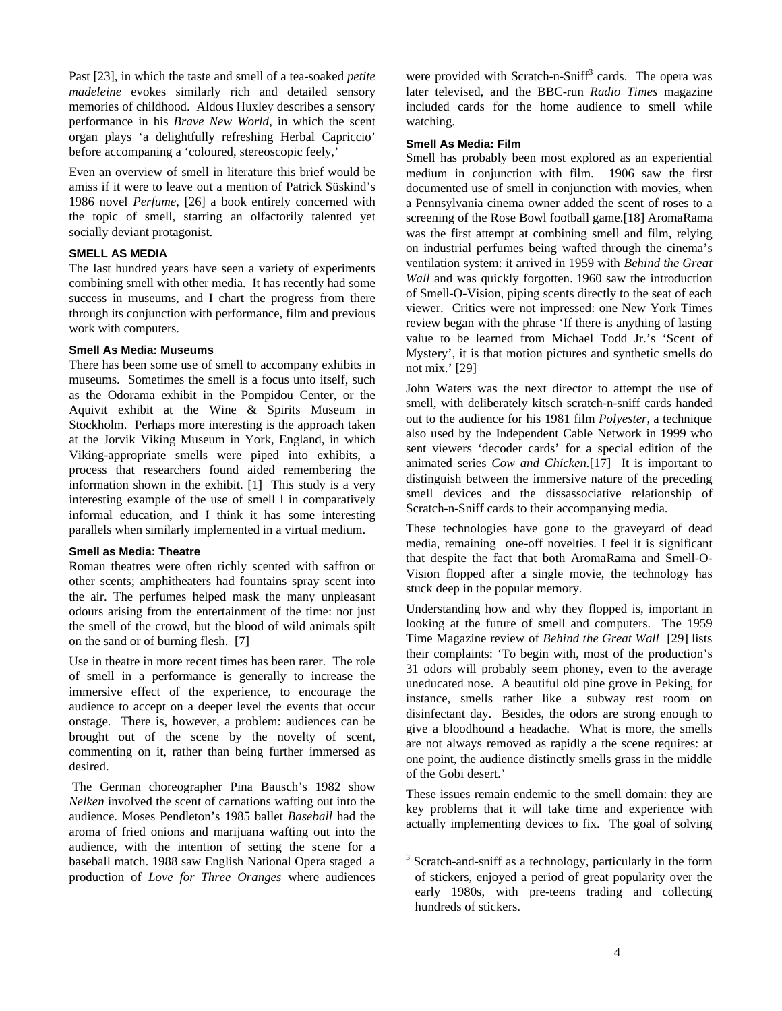Past [23], in which the taste and smell of a tea-soaked *petite madeleine* evokes similarly rich and detailed sensory memories of childhood. Aldous Huxley describes a sensory performance in his *Brave New World*, in which the scent organ plays 'a delightfully refreshing Herbal Capriccio' before accompaning a 'coloured, stereoscopic feely,'

Even an overview of smell in literature this brief would be amiss if it were to leave out a mention of Patrick Süskind's 1986 novel *Perfume*, [26] a book entirely concerned with the topic of smell, starring an olfactorily talented yet socially deviant protagonist.

## **SMELL AS MEDIA**

The last hundred years have seen a variety of experiments combining smell with other media. It has recently had some success in museums, and I chart the progress from there through its conjunction with performance, film and previous work with computers.

## **Smell As Media: Museums**

There has been some use of smell to accompany exhibits in museums. Sometimes the smell is a focus unto itself, such as the Odorama exhibit in the Pompidou Center, or the Aquivit exhibit at the Wine & Spirits Museum in Stockholm. Perhaps more interesting is the approach taken at the Jorvik Viking Museum in York, England, in which Viking-appropriate smells were piped into exhibits, a process that researchers found aided remembering the information shown in the exhibit. [1] This study is a very interesting example of the use of smell l in comparatively informal education, and I think it has some interesting parallels when similarly implemented in a virtual medium.

## **Smell as Media: Theatre**

Roman theatres were often richly scented with saffron or other scents; amphitheaters had fountains spray scent into the air. The perfumes helped mask the many unpleasant odours arising from the entertainment of the time: not just the smell of the crowd, but the blood of wild animals spilt on the sand or of burning flesh. [7]

Use in theatre in more recent times has been rarer. The role of smell in a performance is generally to increase the immersive effect of the experience, to encourage the audience to accept on a deeper level the events that occur onstage. There is, however, a problem: audiences can be brought out of the scene by the novelty of scent, commenting on it, rather than being further immersed as desired.

 The German choreographer Pina Bausch's 1982 show *Nelken* involved the scent of carnations wafting out into the audience. Moses Pendleton's 1985 ballet *Baseball* had the aroma of fried onions and marijuana wafting out into the audience, with the intention of setting the scene for a baseball match. 1988 saw English National Opera staged a production of *Love for Three Oranges* where audiences

were provided with Scratch-n-Sniff<sup>3</sup> cards. The opera was later televised, and the BBC-run *Radio Times* magazine included cards for the home audience to smell while watching.

#### **Smell As Media: Film**

Smell has probably been most explored as an experiential medium in conjunction with film. 1906 saw the first documented use of smell in conjunction with movies, when a Pennsylvania cinema owner added the scent of roses to a screening of the Rose Bowl football game.[18] AromaRama was the first attempt at combining smell and film, relying on industrial perfumes being wafted through the cinema's ventilation system: it arrived in 1959 with *Behind the Great Wall* and was quickly forgotten. 1960 saw the introduction of Smell-O-Vision, piping scents directly to the seat of each viewer. Critics were not impressed: one New York Times review began with the phrase 'If there is anything of lasting value to be learned from Michael Todd Jr.'s 'Scent of Mystery', it is that motion pictures and synthetic smells do not mix.' [29]

John Waters was the next director to attempt the use of smell, with deliberately kitsch scratch-n-sniff cards handed out to the audience for his 1981 film *Polyester*, a technique also used by the Independent Cable Network in 1999 who sent viewers 'decoder cards' for a special edition of the animated series *Cow and Chicken.*[17] It is important to distinguish between the immersive nature of the preceding smell devices and the dissassociative relationship of Scratch-n-Sniff cards to their accompanying media.

These technologies have gone to the graveyard of dead media, remaining one-off novelties. I feel it is significant that despite the fact that both AromaRama and Smell-O-Vision flopped after a single movie, the technology has stuck deep in the popular memory.

Understanding how and why they flopped is, important in looking at the future of smell and computers. The 1959 Time Magazine review of *Behind the Great Wall* [29] lists their complaints: 'To begin with, most of the production's 31 odors will probably seem phoney, even to the average uneducated nose. A beautiful old pine grove in Peking, for instance, smells rather like a subway rest room on disinfectant day. Besides, the odors are strong enough to give a bloodhound a headache. What is more, the smells are not always removed as rapidly a the scene requires: at one point, the audience distinctly smells grass in the middle of the Gobi desert.'

These issues remain endemic to the smell domain: they are key problems that it will take time and experience with actually implementing devices to fix. The goal of solving

-

<sup>&</sup>lt;sup>3</sup> Scratch-and-sniff as a technology, particularly in the form of stickers, enjoyed a period of great popularity over the early 1980s, with pre-teens trading and collecting hundreds of stickers.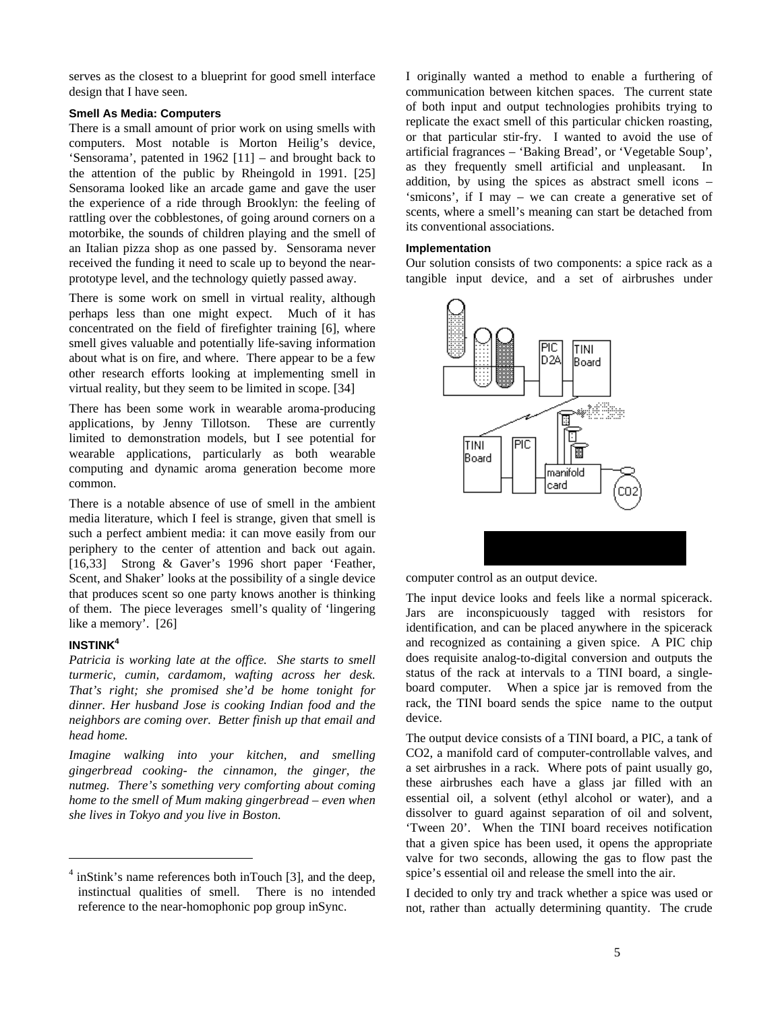serves as the closest to a blueprint for good smell interface design that I have seen.

## **Smell As Media: Computers**

There is a small amount of prior work on using smells with computers. Most notable is Morton Heilig's device, 'Sensorama', patented in 1962 [11] – and brought back to the attention of the public by Rheingold in 1991. [25] Sensorama looked like an arcade game and gave the user the experience of a ride through Brooklyn: the feeling of rattling over the cobblestones, of going around corners on a motorbike, the sounds of children playing and the smell of an Italian pizza shop as one passed by. Sensorama never received the funding it need to scale up to beyond the nearprototype level, and the technology quietly passed away.

There is some work on smell in virtual reality, although perhaps less than one might expect. Much of it has concentrated on the field of firefighter training [6], where smell gives valuable and potentially life-saving information about what is on fire, and where. There appear to be a few other research efforts looking at implementing smell in virtual reality, but they seem to be limited in scope. [34]

There has been some work in wearable aroma-producing applications, by Jenny Tillotson. These are currently limited to demonstration models, but I see potential for wearable applications, particularly as both wearable computing and dynamic aroma generation become more common.

There is a notable absence of use of smell in the ambient media literature, which I feel is strange, given that smell is such a perfect ambient media: it can move easily from our periphery to the center of attention and back out again. [16,33] Strong & Gaver's 1996 short paper 'Feather, Scent, and Shaker' looks at the possibility of a single device that produces scent so one party knows another is thinking of them. The piece leverages smell's quality of 'lingering like a memory'. [26]

## **INSTINK<sup>4</sup>**

1

*Patricia is working late at the office. She starts to smell turmeric, cumin, cardamom, wafting across her desk. That's right; she promised she'd be home tonight for dinner. Her husband Jose is cooking Indian food and the neighbors are coming over. Better finish up that email and head home.*

*Imagine walking into your kitchen, and smelling gingerbread cooking- the cinnamon, the ginger, the nutmeg. There's something very comforting about coming home to the smell of Mum making gingerbread – even when she lives in Tokyo and you live in Boston.*

I originally wanted a method to enable a furthering of communication between kitchen spaces. The current state of both input and output technologies prohibits trying to replicate the exact smell of this particular chicken roasting, or that particular stir-fry. I wanted to avoid the use of artificial fragrances – 'Baking Bread', or 'Vegetable Soup', as they frequently smell artificial and unpleasant. In addition, by using the spices as abstract smell icons – 'smicons', if I may – we can create a generative set of scents, where a smell's meaning can start be detached from its conventional associations.

#### **Implementation**

Our solution consists of two components: a spice rack as a tangible input device, and a set of airbrushes under



computer control as an output device.

The input device looks and feels like a normal spicerack. Jars are inconspicuously tagged with resistors for identification, and can be placed anywhere in the spicerack and recognized as containing a given spice. A PIC chip does requisite analog-to-digital conversion and outputs the status of the rack at intervals to a TINI board, a singleboard computer. When a spice jar is removed from the rack, the TINI board sends the spice name to the output device.

The output device consists of a TINI board, a PIC, a tank of CO2, a manifold card of computer-controllable valves, and a set airbrushes in a rack. Where pots of paint usually go, these airbrushes each have a glass jar filled with an essential oil, a solvent (ethyl alcohol or water), and a dissolver to guard against separation of oil and solvent, 'Tween 20'. When the TINI board receives notification that a given spice has been used, it opens the appropriate valve for two seconds, allowing the gas to flow past the spice's essential oil and release the smell into the air.

I decided to only try and track whether a spice was used or not, rather than actually determining quantity. The crude

<sup>4</sup> inStink's name references both inTouch [3], and the deep, instinctual qualities of smell. There is no intended reference to the near-homophonic pop group inSync.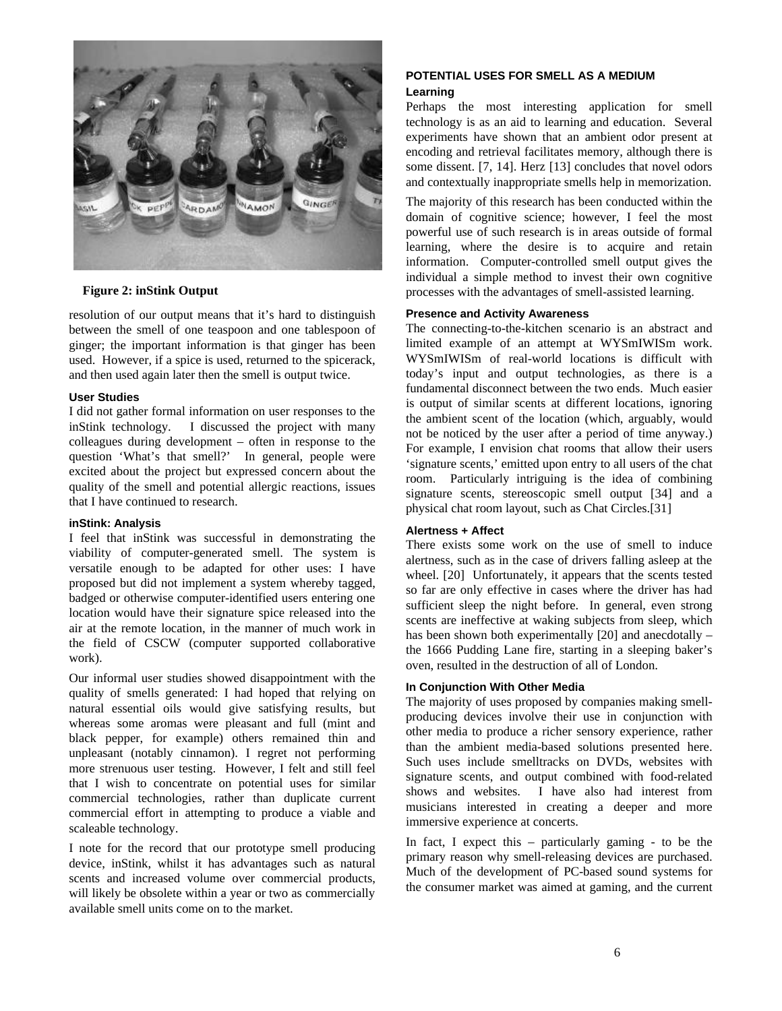

**Figure 2: inStink Output**

resolution of our output means that it's hard to distinguish between the smell of one teaspoon and one tablespoon of ginger; the important information is that ginger has been used. However, if a spice is used, returned to the spicerack, and then used again later then the smell is output twice.

#### **User Studies**

I did not gather formal information on user responses to the inStink technology. I discussed the project with many colleagues during development – often in response to the question 'What's that smell?' In general, people were excited about the project but expressed concern about the quality of the smell and potential allergic reactions, issues that I have continued to research.

#### **inStink: Analysis**

I feel that inStink was successful in demonstrating the viability of computer-generated smell. The system is versatile enough to be adapted for other uses: I have proposed but did not implement a system whereby tagged, badged or otherwise computer-identified users entering one location would have their signature spice released into the air at the remote location, in the manner of much work in the field of CSCW (computer supported collaborative work).

Our informal user studies showed disappointment with the quality of smells generated: I had hoped that relying on natural essential oils would give satisfying results, but whereas some aromas were pleasant and full (mint and black pepper, for example) others remained thin and unpleasant (notably cinnamon). I regret not performing more strenuous user testing. However, I felt and still feel that I wish to concentrate on potential uses for similar commercial technologies, rather than duplicate current commercial effort in attempting to produce a viable and scaleable technology.

I note for the record that our prototype smell producing device, inStink, whilst it has advantages such as natural scents and increased volume over commercial products, will likely be obsolete within a year or two as commercially available smell units come on to the market.

# **POTENTIAL USES FOR SMELL AS A MEDIUM Learning**

Perhaps the most interesting application for smell technology is as an aid to learning and education. Several experiments have shown that an ambient odor present at encoding and retrieval facilitates memory, although there is some dissent. [7, 14]. Herz [13] concludes that novel odors and contextually inappropriate smells help in memorization.

The majority of this research has been conducted within the domain of cognitive science; however, I feel the most powerful use of such research is in areas outside of formal learning, where the desire is to acquire and retain information. Computer-controlled smell output gives the individual a simple method to invest their own cognitive processes with the advantages of smell-assisted learning.

#### **Presence and Activity Awareness**

The connecting-to-the-kitchen scenario is an abstract and limited example of an attempt at WYSmIWISm work. WYSmIWISm of real-world locations is difficult with today's input and output technologies, as there is a fundamental disconnect between the two ends. Much easier is output of similar scents at different locations, ignoring the ambient scent of the location (which, arguably, would not be noticed by the user after a period of time anyway.) For example, I envision chat rooms that allow their users 'signature scents,' emitted upon entry to all users of the chat room. Particularly intriguing is the idea of combining signature scents, stereoscopic smell output [34] and a physical chat room layout, such as Chat Circles.[31]

## **Alertness + Affect**

There exists some work on the use of smell to induce alertness, such as in the case of drivers falling asleep at the wheel. [20] Unfortunately, it appears that the scents tested so far are only effective in cases where the driver has had sufficient sleep the night before. In general, even strong scents are ineffective at waking subjects from sleep, which has been shown both experimentally [20] and anecdotally – the 1666 Pudding Lane fire, starting in a sleeping baker's oven, resulted in the destruction of all of London.

## **In Conjunction With Other Media**

The majority of uses proposed by companies making smellproducing devices involve their use in conjunction with other media to produce a richer sensory experience, rather than the ambient media-based solutions presented here. Such uses include smelltracks on DVDs, websites with signature scents, and output combined with food-related shows and websites. I have also had interest from musicians interested in creating a deeper and more immersive experience at concerts.

In fact, I expect this – particularly gaming - to be the primary reason why smell-releasing devices are purchased. Much of the development of PC-based sound systems for the consumer market was aimed at gaming, and the current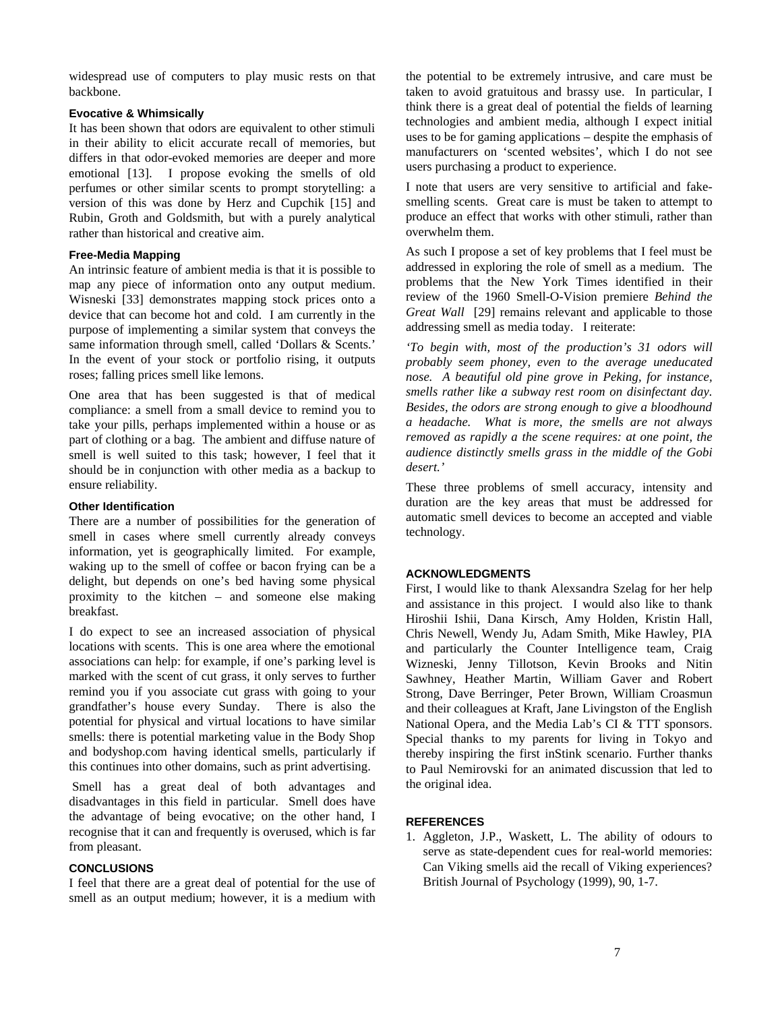widespread use of computers to play music rests on that backbone.

## **Evocative & Whimsically**

It has been shown that odors are equivalent to other stimuli in their ability to elicit accurate recall of memories, but differs in that odor-evoked memories are deeper and more emotional [13]. I propose evoking the smells of old perfumes or other similar scents to prompt storytelling: a version of this was done by Herz and Cupchik [15] and Rubin, Groth and Goldsmith, but with a purely analytical rather than historical and creative aim.

#### **Free-Media Mapping**

An intrinsic feature of ambient media is that it is possible to map any piece of information onto any output medium. Wisneski [33] demonstrates mapping stock prices onto a device that can become hot and cold. I am currently in the purpose of implementing a similar system that conveys the same information through smell, called 'Dollars & Scents.' In the event of your stock or portfolio rising, it outputs roses; falling prices smell like lemons.

One area that has been suggested is that of medical compliance: a smell from a small device to remind you to take your pills, perhaps implemented within a house or as part of clothing or a bag. The ambient and diffuse nature of smell is well suited to this task; however, I feel that it should be in conjunction with other media as a backup to ensure reliability.

#### **Other Identification**

There are a number of possibilities for the generation of smell in cases where smell currently already conveys information, yet is geographically limited. For example, waking up to the smell of coffee or bacon frying can be a delight, but depends on one's bed having some physical proximity to the kitchen – and someone else making breakfast.

I do expect to see an increased association of physical locations with scents. This is one area where the emotional associations can help: for example, if one's parking level is marked with the scent of cut grass, it only serves to further remind you if you associate cut grass with going to your grandfather's house every Sunday. There is also the potential for physical and virtual locations to have similar smells: there is potential marketing value in the Body Shop and bodyshop.com having identical smells, particularly if this continues into other domains, such as print advertising.

 Smell has a great deal of both advantages and disadvantages in this field in particular. Smell does have the advantage of being evocative; on the other hand, I recognise that it can and frequently is overused, which is far from pleasant.

## **CONCLUSIONS**

I feel that there are a great deal of potential for the use of smell as an output medium; however, it is a medium with the potential to be extremely intrusive, and care must be taken to avoid gratuitous and brassy use. In particular, I think there is a great deal of potential the fields of learning technologies and ambient media, although I expect initial uses to be for gaming applications – despite the emphasis of manufacturers on 'scented websites', which I do not see users purchasing a product to experience.

I note that users are very sensitive to artificial and fakesmelling scents. Great care is must be taken to attempt to produce an effect that works with other stimuli, rather than overwhelm them.

As such I propose a set of key problems that I feel must be addressed in exploring the role of smell as a medium. The problems that the New York Times identified in their review of the 1960 Smell-O-Vision premiere *Behind the Great Wall* [29] remains relevant and applicable to those addressing smell as media today. I reiterate:

*'To begin with, most of the production's 31 odors will probably seem phoney, even to the average uneducated nose. A beautiful old pine grove in Peking, for instance, smells rather like a subway rest room on disinfectant day. Besides, the odors are strong enough to give a bloodhound a headache. What is more, the smells are not always removed as rapidly a the scene requires: at one point, the audience distinctly smells grass in the middle of the Gobi desert.'* 

These three problems of smell accuracy, intensity and duration are the key areas that must be addressed for automatic smell devices to become an accepted and viable technology.

## **ACKNOWLEDGMENTS**

First, I would like to thank Alexsandra Szelag for her help and assistance in this project. I would also like to thank Hiroshii Ishii, Dana Kirsch, Amy Holden, Kristin Hall, Chris Newell, Wendy Ju, Adam Smith, Mike Hawley, PIA and particularly the Counter Intelligence team, Craig Wizneski, Jenny Tillotson, Kevin Brooks and Nitin Sawhney, Heather Martin, William Gaver and Robert Strong, Dave Berringer, Peter Brown, William Croasmun and their colleagues at Kraft, Jane Livingston of the English National Opera, and the Media Lab's CI & TTT sponsors. Special thanks to my parents for living in Tokyo and thereby inspiring the first inStink scenario. Further thanks to Paul Nemirovski for an animated discussion that led to the original idea.

## **REFERENCES**

1. Aggleton, J.P., Waskett, L. The ability of odours to serve as state-dependent cues for real-world memories: Can Viking smells aid the recall of Viking experiences? British Journal of Psychology (1999), 90, 1-7.